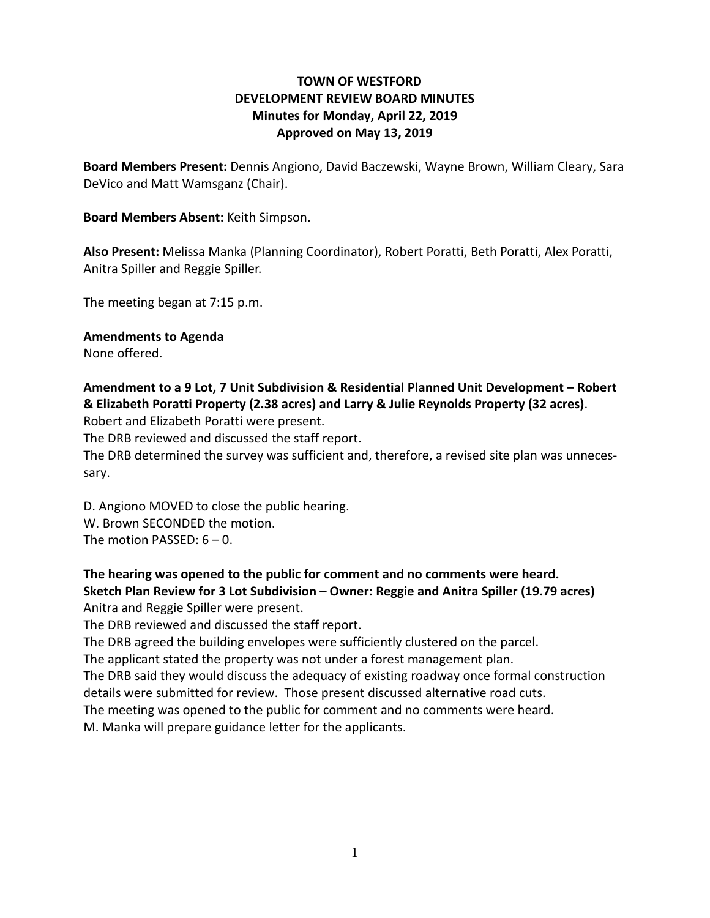# **TOWN OF WESTFORD DEVELOPMENT REVIEW BOARD MINUTES Minutes for Monday, April 22, 2019 Approved on May 13, 2019**

**Board Members Present:** Dennis Angiono, David Baczewski, Wayne Brown, William Cleary, Sara DeVico and Matt Wamsganz (Chair).

### **Board Members Absent:** Keith Simpson.

**Also Present:** Melissa Manka (Planning Coordinator), Robert Poratti, Beth Poratti, Alex Poratti, Anitra Spiller and Reggie Spiller.

The meeting began at 7:15 p.m.

**Amendments to Agenda**

None offered.

# **Amendment to a 9 Lot, 7 Unit Subdivision & Residential Planned Unit Development – Robert & Elizabeth Poratti Property (2.38 acres) and Larry & Julie Reynolds Property (32 acres)**.

Robert and Elizabeth Poratti were present.

The DRB reviewed and discussed the staff report.

The DRB determined the survey was sufficient and, therefore, a revised site plan was unnecessary.

D. Angiono MOVED to close the public hearing. W. Brown SECONDED the motion. The motion PASSED:  $6 - 0$ .

## **The hearing was opened to the public for comment and no comments were heard. Sketch Plan Review for 3 Lot Subdivision – Owner: Reggie and Anitra Spiller (19.79 acres)** Anitra and Reggie Spiller were present.

The DRB reviewed and discussed the staff report.

The DRB agreed the building envelopes were sufficiently clustered on the parcel.

The applicant stated the property was not under a forest management plan.

The DRB said they would discuss the adequacy of existing roadway once formal construction details were submitted for review. Those present discussed alternative road cuts.

The meeting was opened to the public for comment and no comments were heard.

M. Manka will prepare guidance letter for the applicants.